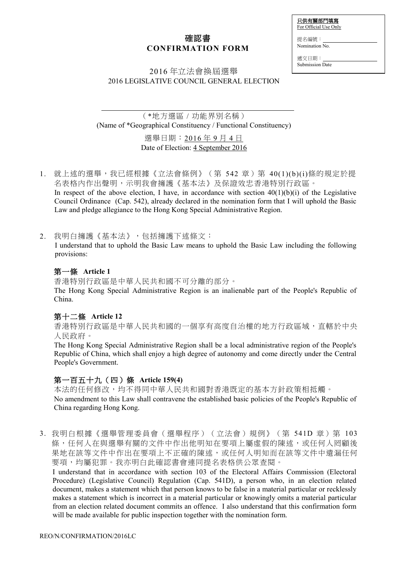# 確認書 **CONFIRMATION FORM**

只供有關部門填寫 For Official Use Only

提名編號: Nomination No.

遞交日期: Submission Date

# 2016 年立法會換屆選舉 2016 LEGISLATIVE COUNCIL GENERAL ELECTION

(\*地方選區 / 功能界別名稱) (Name of \*Geographical Constituency / Functional Constituency)

> 選舉日期:2016 年 9 月 4 日 Date of Election: 4 September 2016

1. 就上述的選舉,我已經根據《立法會條例》(第 542 章)第 40(1)(b)(i)條的規定於提 名表格內作出聲明,示明我會擁護《基本法》及保證效忠香港特別行政區。

In respect of the above election, I have, in accordance with section  $40(1)(b)(i)$  of the Legislative Council Ordinance (Cap. 542), already declared in the nomination form that I will uphold the Basic Law and pledge allegiance to the Hong Kong Special Administrative Region.

2. 我明白擁護《基本法》,包括擁護下述條文:

I understand that to uphold the Basic Law means to uphold the Basic Law including the following provisions:

# 第一條 **Article 1**

香港特別行政區是中華人民共和國不可分離的部分。

The Hong Kong Special Administrative Region is an inalienable part of the People's Republic of China.

# 第十二條 **Article 12**

香港特別行政區是中華人民共和國的一個享有高度自治權的地方行政區域,直轄於中央 人民政府。

The Hong Kong Special Administrative Region shall be a local administrative region of the People's Republic of China, which shall enjoy a high degree of autonomy and come directly under the Central People's Government.

# 第一百五十九(四)條 **Article 159(4)**

本法的任何修改,均不得同中華人民共和國對香港既定的基本方針政策相抵觸。 No amendment to this Law shall contravene the established basic policies of the People's Republic of China regarding Hong Kong.

3. 我明白根據《選舉管理委員會(選舉程序)(立法會)規例》(第 541D 章)第 103 條,任何人在與選舉有關的文件中作出他明知在要項上屬虛假的陳述,或任何人罔顧後 果地在該等文件中作出在要項上不正確的陳述,或任何人明知而在該等文件中遺漏任何 要項,均屬犯罪。我亦明白此確認書會連同提名表格供公眾查閱。

I understand that in accordance with section 103 of the Electoral Affairs Commission (Electoral Procedure) (Legislative Council) Regulation (Cap. 541D), a person who, in an election related document, makes a statement which that person knows to be false in a material particular or recklessly makes a statement which is incorrect in a material particular or knowingly omits a material particular from an election related document commits an offence. I also understand that this confirmation form will be made available for public inspection together with the nomination form.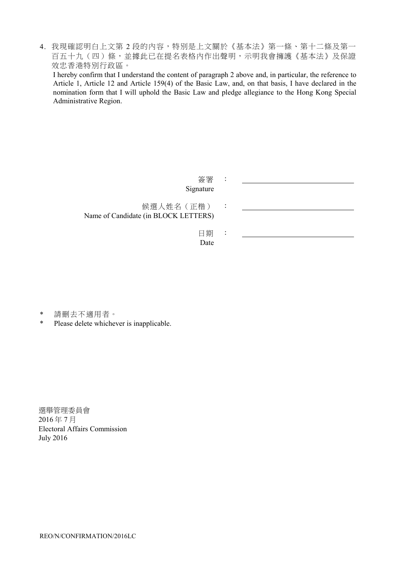4. 我現確認明白上文第 2 段的內容,特別是上文關於《基本法》第一條、第十二條及第一 百五十九(四)條,並據此已在提名表格內作出聲明,示明我會擁護《基本法》及保證 效忠香港特別行政區。

I hereby confirm that I understand the content of paragraph 2 above and, in particular, the reference to Article 1, Article 12 and Article 159(4) of the Basic Law, and, on that basis, I have declared in the nomination form that I will uphold the Basic Law and pledge allegiance to the Hong Kong Special Administrative Region.

| 簽署<br>Signature                                     | $\ddot{\cdot}$ |  |
|-----------------------------------------------------|----------------|--|
| 候選人姓名 (正楷):<br>Name of Candidate (in BLOCK LETTERS) |                |  |
| 日期<br>Date                                          | $\ddot{\cdot}$ |  |

\* 請刪去不適用者。

\* Please delete whichever is inapplicable.

選舉管理委員會 2016 年 7 月 Electoral Affairs Commission July 2016